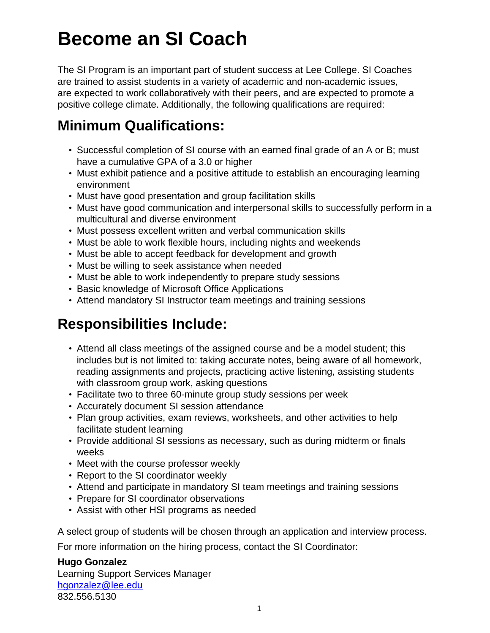## **Become an SI Coach**

The SI Program is an important part of student success at Lee College. SI Coaches are trained to assist students in a variety of academic and non-academic issues, are expected to work collaboratively with their peers, and are expected to promote a positive college climate. Additionally, the following qualifications are required:

## **Minimum Qualifications:**

- Successful completion of SI course with an earned final grade of an A or B; must have a cumulative GPA of a 3.0 or higher
- Must exhibit patience and a positive attitude to establish an encouraging learning environment
- Must have good presentation and group facilitation skills
- Must have good communication and interpersonal skills to successfully perform in a multicultural and diverse environment
- Must possess excellent written and verbal communication skills
- Must be able to work flexible hours, including nights and weekends
- Must be able to accept feedback for development and growth
- Must be willing to seek assistance when needed
- Must be able to work independently to prepare study sessions
- Basic knowledge of Microsoft Office Applications
- Attend mandatory SI Instructor team meetings and training sessions

## **Responsibilities Include:**

- Attend all class meetings of the assigned course and be a model student; this includes but is not limited to: taking accurate notes, being aware of all homework, reading assignments and projects, practicing active listening, assisting students with classroom group work, asking questions
- Facilitate two to three 60-minute group study sessions per week
- Accurately document SI session attendance
- Plan group activities, exam reviews, worksheets, and other activities to help facilitate student learning
- Provide additional SI sessions as necessary, such as during midterm or finals weeks
- Meet with the course professor weekly
- Report to the SI coordinator weekly
- Attend and participate in mandatory SI team meetings and training sessions
- Prepare for SI coordinator observations
- Assist with other HSI programs as needed

A select group of students will be chosen through an application and interview process.

For more information on the hiring process, contact the SI Coordinator:

## **Hugo Gonzalez**

Learning Support Services Manager [hgonzalez@lee.edu](mailto:hgonzalez@lee.edu�) 832.556.5130